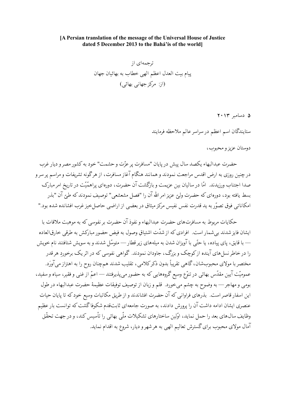## [A Persian translation of the message of the Universal House of Justice dated 5 December 2013 to the Bahá'ís of the world

ترجمهای از پیام بیت العدل اعظم الهی خطاب به بهائیان جهان (از: مرکز جهانی بهائی)

۵ دسامبر ۲۰۱۳

ستايندگان اسم اعظم در سراسر عالم ملاحظه فرمايند

دوستان عزیز و محبوب،

حضرت عبدالبهاء يكصد سال يبش در پايان "مسافرت ير عزّت و حشمت" خود به كشور مصر و ديار غرب درچنین روزی به ارض اقدس مراجعت نمودند و همانند هنگام آغاز مسافرت، از هرگونه تشریفات و مراسم پر سر و صدا اجتناب ورزیدند. امّا در سالیان بین عزیمت و بازگشت آن حضرت، دورهای پراهمّیّت در تاریخ امر مبارک بسط یافته بود، دورەای که حضرت ولیّ عزیز امر الله آن را "فصل مشعشعی" توصیف نمودند که طبّ آن "بذر امکاناتی فوق تصوّر به ید قدرت نفس نفیس مرکز میثاق در بعضی از اراضی حاصل خیز غرب افشانده شده بود."

حکایات مربوط به مسافرتهای حضرت عبدالبهاء و نفوذ آن حضرت بر نفوسی که به موهبت ملاقات با ايشان فايز شدند بي شمار است. افرادي كه از شدّت اشتياقٍ وصول به فيض حضور مباركش به طرقي خارق|لعاده — با قایق، پای پیاده، یا حتّی با آویزان شدن به میلههای زیر قطار — متوسّل شدند و به سویش شتافتند نام خویش را در خاطر نسل هاي آينده ازكوچک و بزرگ، جاودان نمودند. گواهي نفوسي كه در اثر يک برخورد هر قدر مختصر با مولای محبوبشان، گاهی تقریباً بدون ذکر کلامی، تقلیب شدند همچنان روح را به اهتزاز می آورَد. عمومیّت آیین مقدّس بهائی در تنوّع وسیع گروههایی که به حضور میپذیرفتند — اعمّ از غنی و فقیر، سیاه و سفید، بومي و مهاجر — به وضوح به چشم ميخورد. قلم و زبان از توصيف توفيقات عظيمهٔ حضرت عبدالبهاء در طول این اسفار قاصر است. بذرهای فراوانی که آن حضرت افشاندند و از طریق مکاتبات وسیع خود که تا پایان حیات عنصری ایشان ادامه داشت آن را پرورش دادند، به صورت جامعهای ثابتقدم شکوفاگشت که توانست بار عظیم وظایف سال0های بعد را حمل نماید، اوّلین ساختارهای تشکیلات ملّی بهائی را تأسیس کند، و در جهت تحقّق آمال مولای محبوب برای گسترش تعالیم الهی به هر شهر و دیار، شروع به اقدام نماید.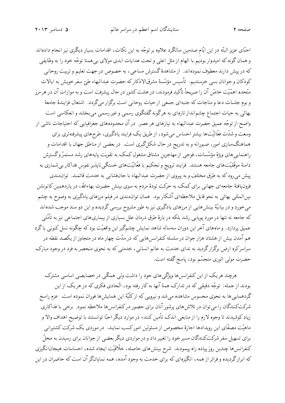ستايندگان اسم اعظم در سراسر عالم

صفحه ۲

احبّای عزیز البتّه در این ایّام صدمین سالگرد علاوه بر توجّه به این نکات، اقدامات بسیار دیگری نیز انجام دادهاند و همان گونه که امیدوار بودیم با الهام از مثل اعلی و تحت هدایات ابدی مولای بی همتا توجّه خود را به وظایفی که در پیش دارند معطوف نمودهاند. از مشاهدهٔ گسترش مساعی، به خصوص در جهت تعلیم و تربیت روحانی كودكان وجوانان بسي خرسنديم. تأسيس مؤسَّسهٔ مشرقالاذكاركه حضرت عبدالبهاء طيّ سفرخويش به ايالات متّحده اهمّیّت خاصّ آن را صریحاً تأکید فرمودند، در هشت کشور در حال پیشرفت است و به موازات آن در هر مرز و بوم جلسات دعا و مناجات که جنبهای جمعی از حیات روحانی است برگزار میگردد. اشتغال فزایندهٔ جامعهٔ بهائی به حیات اجتماع چشم|نداز تازهای به هرگونه گفتگوی رسمی و غیر رسمی میبخشد و انعکاسی است واضح از توجّه عمیق حضرت عبدالبهاء به نیازهای هر عصر. در آن محدودههای جغرافیایی که احتیاجات ناشی از وسعت و شدّت فعّالیّتها بیشتر احساس میشود، از طریق یک فرایند یادگیری، طرحهای پیشرفتهتری برای هماهنگسازی امور، صبورانه و به تدریج در حال شکلگیری است. در بعضی از مناطق جهان با اقدامات و راهنماییهای ویژهٔ مؤسَّسات، فوجی از مهاجرین مشتاق مشغول کمک به تقویت پایههای رشد مستمرّ وگسترش دامنهٔ موفّقیّتهای جامعه هستند. فرایند ترویج و تحکیم با فعّالیّتهای خستگی ناپذیر نفوس فداکار بی شماری به پیش می رود که به طرق مختلف و به پیروی از حضرت عبدالبهاء با جانفشانی به خدمت قائمند. توان مندی فزونیافتهٔ جامعهای جهانبی برای کمک به حرکت تودهٔ مردم به سوی بینش حضرت بهاءالله، در یازدهمین کانونشن بینالمللی بهائی به نحو قابل ملاحظهای آشکار بود. همان توانمندی در فیلم مرزهای یادگیری به وضوح به چشم می خورد و در بیانیّهٔ بینش هایی از مرزهای یادگیری نیز به طور مشروح بررسی گردیده و این دو سند موجب شدهاند که جامعه نه تنها در مورد یوپایی رشد بلکه در بارهٔ طرق درمان علل بسیاری از بیماریهای اجتماعی نیز به تأمّلی عمیق پردازد. و ماههای آخر این دوران سهساله شاهد نمایش چشمگیر این واقعیّت بود که چگونه نسل کنونی باگرد هم آمدن بیش از هشتاد هزار جوان در سلسله کنفرانس هایی که در مدّت چهار ماه در متجاوز از یکصد نقطه در سراسرکره ارض برگزارگردید به ندای خدمت به عالم انسانی، خدمتی که به نحوی منحصر به فرد در وجود مبارک حضرت مولى الورى متجسّم بود، پاسخ گفته است.

هرچند هریک از این کنفرانس ها ویژگی های خود را داشت ولی همگی در خصایصی اساسی مشترک بودند از جمله: توجُّه دقیقی که در تدارک همهٔ آنها به کار رفته بود، اتَّحادی فکری که در هر یک از این گردهمایی ها به نحوی محسوس مشاهده میشد و نیرویی که از کلّیهٔ این همایش ها فوران نموده است. عزم راسخ شرکتکنندگان را میتوان در تلاش های پرشور آنان برای حضور درکنفرانس ها ملاحظه نمود. برخی با فداکاری زیاد کوشیدند تا وجوه لازم را از منابعی اندک تأمین کنند؛ در موارد دیگر احبّا توانستند با توضیح اهداف والا و ماهیّت مصفّای این رویدادها اجازهٔ مخصوص از مسئولین امورکسب نمایند. در موردی یک شرکت کشتیرانی برای تسهیل سفر شرکتکنندگان مسیر خود را تغییر داد و در مواردی دیگر بعضی از جوانان برای رسیدن به محلّ كنفرانسها چندين روز پياده راه پيمودند. شرح بينشهاي حاصله، خلّاقيّت ايجاد شده، احساسات هيجان|نگيزي که ابرازگردیده و فراتر از همه، انگیزهای که برای خدمت به وجود آمده، همه نمایانگر آن است که حاضران در این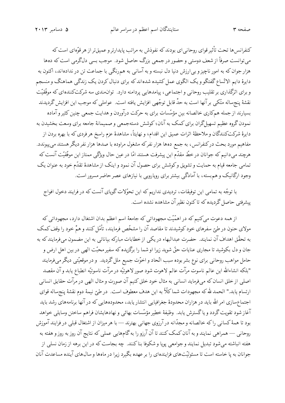ستايندگان اسم اعظم در سراسر عالم

کنفرانس ها تحت تأثیر قوای روحانی ای بودند که نفوذش به مراتب پایدارتر و عمیقتر از هر قوّهای است که می توانست صرفاً از شعف دوستی و حضور در جمعی بزرگ حاصل شود. موجب بسی دلگرمی است که دهها هزار جوان که به امور ناچیز و بی|رزش دنیا دل نبسته و به آسانی به همرنگی با جماعت تن در ندادهاند، اکنون به دايرهٔ دايم الاتِّساع گفتگو و يک الگوي عمل کشيده شدهاند که براي دنبال کردن يک زندگي هماهنگ و منسجم و برای اثرگذاری بر تقلیب روحانی و اجتماعی، پیامدهایی پردامنه دارد. توان.مندی سه شرکتکنندهای که موفّقیّت نقشهٔ پنجساله متّکی برآنها است به حدِّ قابل توجّهی افزایش یافته است. عواملی که موجب این افزایش گردیدند بسیارند از جمله همکاری خالصانه بین مؤسّسات برای به حرکت درآوردن و هدایت جمعی چنین کثیر و آماده نمودن گروه عظیم تسهیلگران برای کمک به آنان؛ کوشش دستهجمعی و صمیمانهٔ جامعه برای وسعت بخشیدن به دايرهٔ شركتكنندگان و ملاحظهٔ اثرات عميق اين اقدام؛ و نهايتاً، مشاهدهٔ عزم راسخ هر فردي كه با بهره بردن از مفاهیم مورد بحث درکنفرانس، به جمع دهها هزار نفرکه مشغول مراوده با صدها هزار نفر دیگر هستند می پیوندد. هرچند می۵دانیم که جوانان در خطّ مقدّم این پیشرفت هستند امّا در عین حال ویژگی ممتاز این موفّقیّت آنست که تمامی جامعه قیام به حمایت و تشویق وکوشش برای حصول آن نمود و اینک از مشاهدهٔ تقدّم خود به عنوان یک وجود ارگانیک و هم بسته، با آمادگی بیشتر برای رویارویی با نیازهای عصر حاضر مسرور است.

با توجّه به تمامی این توفیقات، تردیدی نداریم که این تحوّلات گویای آنست که در فرایند دخول افواج پیشرفتی حاصل گردیده که تاکنون نظیر آن مشاهده نشده است.

از همه دعوت میکنیم که در اهمّیّت مجهوداتی که جامعهٔ اسم اعظم بدان اشتغال دارد، مجهوداتی که مولای حنون در طبّ سفرهای خود کوشیدند تا مقاصد آن را مشخّص فرمایند، تأمّل کنند و همّ خود را وقف کمک به تحقّق اهداف آن نمایند. حضرت عبدالبهاء در یکی از خطابات مبارکه بیاناتی به این مضمون میفرمایند که به جان و دل بکوشید تا مجاری عنایات حقّ شوید زیرا او شما را برگزیده که سفیر محبّت الهی در بین اهل ارض و حامل مواهب روحانی برای نوع بشر بوده سبب اتّحاد و اخوّت جمیع ملل گردید. و در موقعیّتی دیگر میفرمایند "بلكه انشاءالله اين عالم ناسوت مرآت عالم لاهوت شود صور لاهوتيّه در مرآت ناسوتيّه انطباع يابد و آن مقصد اصلبي از خلق انسان كه مي¢ومايد انسانبي به مثال خود خلق كنيم آن صورت و مثال الهي در مرآت حقايق انسانبي ارتسام يابد." الحمد لله كه مجهودات شما كلًّا به اين هدف معطوف است. در طيّ نيمهٔ دوم نقشهٔ پنجساله قواي اجتماع سازی امر الله باید در هزاران محدودهٔ جغرافیایی انتشار یابد، محدودههایی که در آنها برنامههای رشد باید آغاز شود تقويت گردد و يا گسترش يابد. وظيفهٔ خطير مؤسّسات بهائي و نهادهايشان فراهم ساختن وسايلي خواهد بود تا همهٔ کسانی راکه خالصانه و مجدّانه در آرزوی جهانی بهترند — با هر میزان از اشتغال قبلی در فرایند آموزش روحانی — همراهی نمایند و به آنان کمک کنند تا آن آرزو را به گامهایی عملی که نتایج آن روز به روز و هفته به هفته انباشته می شود تبدیل نمایند و جوامعی پویا و شکوفا بناکنند. چه بجاست که در این برهه از زمان نسلی از جوانان به پا خاسته است تا مسئولیّتهای فزایندهای را بر عهده بگیرد زیرا در ماهها و سال های آینده مساعدت آنان